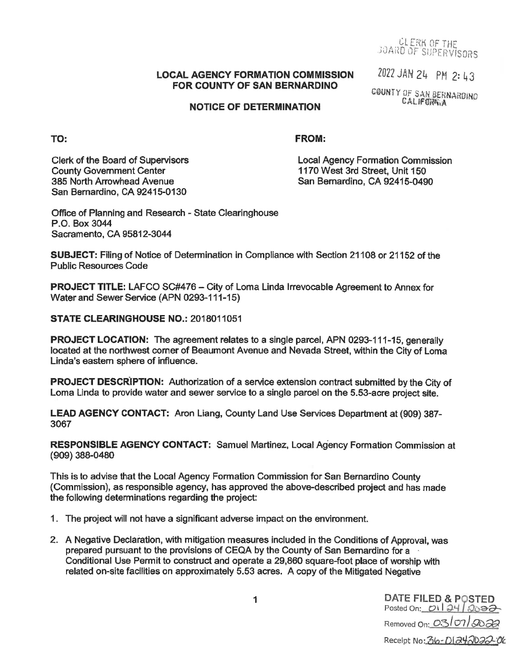Cl ERK *OF* THF JOARD OF SUPERVISORS

## **LOCAL AGENCY FORMATION COMMISSION FOR COUNTY OF SAN BERNARDINO**

2022 JAN 24 PM 2: 43

COUNTY OF SAN BERNARDINO **CALIFORM, A** 

## **NOTICE OF DETERMINATION**

**TO:** 

## **FROM:**

Clerk of the Board of Supervisors County Government Center 385 North Arrowhead Avenue San Bernardino, CA 92415-0130

Local Agency Formation Commission 1170 West 3rd Street, Unit 150 San Bernardino, CA 92415-0490

Office of Planning and Research - State Clearinghouse P.O. Box 3044 Sacramento, CA 95812-3044

**SUBJECT:** Filing of Notice of Determination in Compliance with Section 21108 or 21152 of the Public Resources Code

**PROJECT TITLE: LAFCO SC#476 - City of Loma Linda Irrevocable Agreement to Annex for** Water and Sewer Service (APN 0293-111-15)

**STATE CLEARINGHOUSE NO.:** 2018011051

**PROJECT LOCATION:** The agreement relates to a single parcel, APN 0293-111-15, generally located at the northwest corner of Beaumont Avenue and Nevada Street, within the City of Loma Linda's eastern sphere of influence.

**PROJECT DESCRIPTION:** Authorization of a service extension contract submitted by the City of Loma Linda to provide water and sewer service to a single parcel on the 5.53-acre project site.

**LEAD AGENCY CONTACT:** Aron Liang, County Land Use Services Department at (909) 387- 3067

**RESPONSIBLE AGENCY CONTACT:** Samuel Martinez, Local Agency Formation Commission at (909) 388-0480

This is to advise that the Local Agency Formation Commission for San Bernardino County (Commission), as responsible agency, has approved the above-described project and has made the following determinations regarding the project:

- 1 . The project will not have a significant adverse impact on the environment.
- 2. A Negative Declaration, with mitigation measures included in the Conditions of Approval, was prepared pursuant to the provisions of CEQA by the County of San Bernardino for a - Conditional Use Permit to construct and operate a 29,860 square-foot place of worship with related on-site facilities on approximately 5.53 acres. A copy of the Mitigated Negative

1 DATE FILED & POSTED Posted On: *D\ | 24 | 20<del>02</del>* Removed On: *00* / *07) '90a9*  Receipt No: 36-DI242022-06